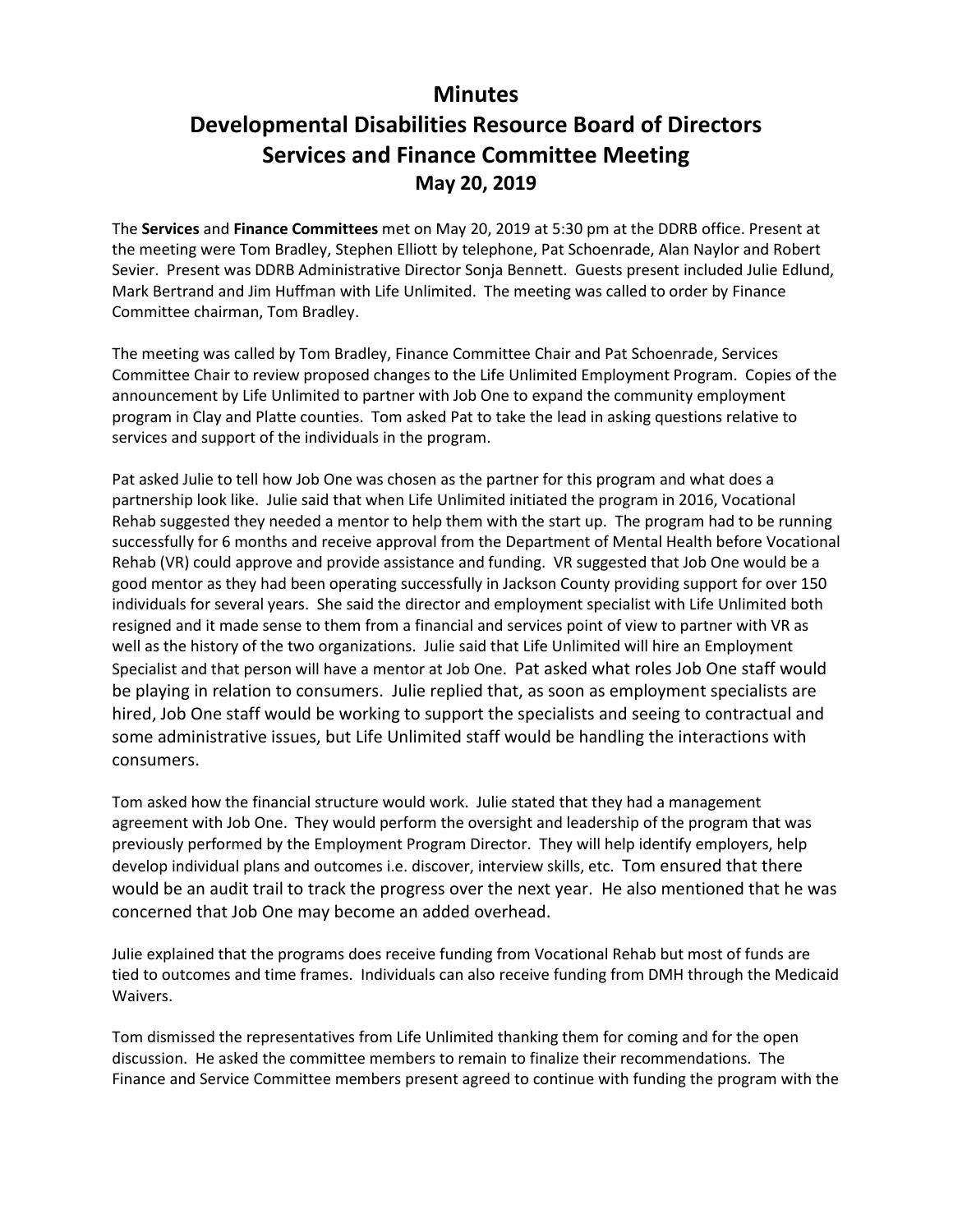## **Minutes**

## **Developmental Disabilities Resource Board of Directors Services and Finance Committee Meeting May 20, 2019**

The **Services** and **Finance Committees** met on May 20, 2019 at 5:30 pm at the DDRB office. Present at the meeting were Tom Bradley, Stephen Elliott by telephone, Pat Schoenrade, Alan Naylor and Robert Sevier. Present was DDRB Administrative Director Sonja Bennett. Guests present included Julie Edlund, Mark Bertrand and Jim Huffman with Life Unlimited. The meeting was called to order by Finance Committee chairman, Tom Bradley.

The meeting was called by Tom Bradley, Finance Committee Chair and Pat Schoenrade, Services Committee Chair to review proposed changes to the Life Unlimited Employment Program. Copies of the announcement by Life Unlimited to partner with Job One to expand the community employment program in Clay and Platte counties. Tom asked Pat to take the lead in asking questions relative to services and support of the individuals in the program.

Pat asked Julie to tell how Job One was chosen as the partner for this program and what does a partnership look like. Julie said that when Life Unlimited initiated the program in 2016, Vocational Rehab suggested they needed a mentor to help them with the start up. The program had to be running successfully for 6 months and receive approval from the Department of Mental Health before Vocational Rehab (VR) could approve and provide assistance and funding. VR suggested that Job One would be a good mentor as they had been operating successfully in Jackson County providing support for over 150 individuals for several years. She said the director and employment specialist with Life Unlimited both resigned and it made sense to them from a financial and services point of view to partner with VR as well as the history of the two organizations. Julie said that Life Unlimited will hire an Employment Specialist and that person will have a mentor at Job One. Pat asked what roles Job One staff would be playing in relation to consumers. Julie replied that, as soon as employment specialists are hired, Job One staff would be working to support the specialists and seeing to contractual and some administrative issues, but Life Unlimited staff would be handling the interactions with consumers.

Tom asked how the financial structure would work. Julie stated that they had a management agreement with Job One. They would perform the oversight and leadership of the program that was previously performed by the Employment Program Director. They will help identify employers, help develop individual plans and outcomes i.e. discover, interview skills, etc. Tom ensured that there would be an audit trail to track the progress over the next year. He also mentioned that he was concerned that Job One may become an added overhead.

Julie explained that the programs does receive funding from Vocational Rehab but most of funds are tied to outcomes and time frames. Individuals can also receive funding from DMH through the Medicaid Waivers.

Tom dismissed the representatives from Life Unlimited thanking them for coming and for the open discussion. He asked the committee members to remain to finalize their recommendations. The Finance and Service Committee members present agreed to continue with funding the program with the